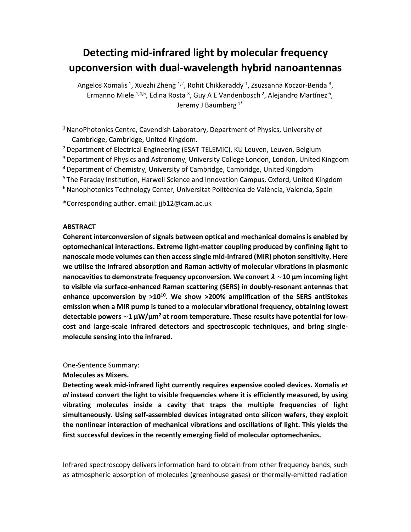# **Detecting mid‐infrared light by molecular frequency upconversion with dual‐wavelength hybrid nanoantennas**

Angelos Xomalis <sup>1</sup>, Xuezhi Zheng <sup>1,2</sup>, Rohit Chikkaraddy <sup>1</sup>, Zsuzsanna Koczor-Benda <sup>3</sup>, Ermanno Miele  $1,4,5$ , Edina Rosta <sup>3</sup>, Guy A E Vandenbosch <sup>2</sup>, Alejandro Martínez <sup>6</sup>, Jeremy J Baumberg 1\*

<sup>1</sup> NanoPhotonics Centre, Cavendish Laboratory, Department of Physics, University of Cambridge, Cambridge, United Kingdom.

<sup>2</sup> Department of Electrical Engineering (ESAT-TELEMIC), KU Leuven, Leuven, Belgium

<sup>3</sup> Department of Physics and Astronomy, University College London, London, United Kingdom

4 Department of Chemistry, University of Cambridge, Cambridge, United Kingdom

<sup>5</sup> The Faraday Institution, Harwell Science and Innovation Campus, Oxford, United Kingdom

6 Nanophotonics Technology Center, Universitat Politècnica de València, Valencia, Spain

\*Corresponding author. email: jjb12@cam.ac.uk

## **ABSTRACT**

**Coherent interconversion of signals between optical and mechanical domains is enabled by optomechanical interactions. Extreme light‐matter coupling produced by confining light to nanoscale mode volumes can then access single mid‐infrared (MIR) photon sensitivity. Here we utilise the infrared absorption and Raman activity of molecular vibrations in plasmonic**  nanocavities to demonstrate frequency upconversion. We convert  $\lambda \sim$ 10  $\mu$ m incoming light **to visible via surface‐enhanced Raman scattering (SERS) in doubly‐resonant antennas that**  enhance upconversion by  $>10^{10}$ . We show  $>200\%$  amplification of the SERS antiStokes **emission when a MIR pump is tuned to a molecular vibrational frequency, obtaining lowest**  detectable powers  $\sim$ 1 μW/μm<sup>2</sup> at room temperature. These results have potential for low**cost and large‐scale infrared detectors and spectroscopic techniques, and bring single‐ molecule sensing into the infrared.** 

One‐Sentence Summary:

**Molecules as Mixers.** 

**Detecting weak mid‐infrared light currently requires expensive cooled devices. Xomalis** *et al* **instead convert the light to visible frequencies where it is efficiently measured, by using vibrating molecules inside a cavity that traps the multiple frequencies of light simultaneously. Using self‐assembled devices integrated onto silicon wafers, they exploit the nonlinear interaction of mechanical vibrations and oscillations of light. This yields the first successful devices in the recently emerging field of molecular optomechanics.** 

Infrared spectroscopy delivers information hard to obtain from other frequency bands, such as atmospheric absorption of molecules (greenhouse gases) or thermally‐emitted radiation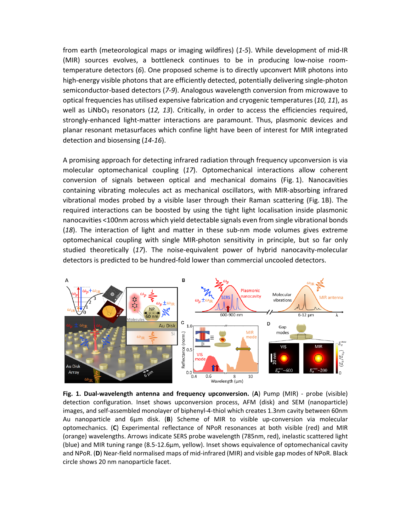from earth (meteorological maps or imaging wildfires) (*1‐5*). While development of mid‐IR (MIR) sources evolves, a bottleneck continues to be in producing low‐noise room‐ temperature detectors (*6*). One proposed scheme is to directly upconvert MIR photons into high-energy visible photons that are efficiently detected, potentially delivering single-photon semiconductor‐based detectors (*7‐9*). Analogous wavelength conversion from microwave to optical frequencies has utilised expensive fabrication and cryogenic temperatures (*10, 11*), as well as LiNbO<sub>3</sub> resonators (12, 13). Critically, in order to access the efficiencies required, strongly-enhanced light-matter interactions are paramount. Thus, plasmonic devices and planar resonant metasurfaces which confine light have been of interest for MIR integrated detection and biosensing (*14‐16*).

A promising approach for detecting infrared radiation through frequency upconversion is via molecular optomechanical coupling (*17*). Optomechanical interactions allow coherent conversion of signals between optical and mechanical domains (Fig. 1). Nanocavities containing vibrating molecules act as mechanical oscillators, with MIR-absorbing infrared vibrational modes probed by a visible laser through their Raman scattering (Fig. 1B). The required interactions can be boosted by using the tight light localisation inside plasmonic nanocavities <100nm across which yield detectable signals even from single vibrational bonds (18). The interaction of light and matter in these sub-nm mode volumes gives extreme optomechanical coupling with single MIR-photon sensitivity in principle, but so far only studied theoretically (17). The noise-equivalent power of hybrid nanocavity-molecular detectors is predicted to be hundred‐fold lower than commercial uncooled detectors.



**Fig. 1. Dual-wavelength antenna and frequency upconversion. (A) Pump (MIR) - probe (visible)** detection configuration. Inset shows upconversion process, AFM (disk) and SEM (nanoparticle) images, and self‐assembled monolayer of biphenyl‐4‐thiol which creates 1.3nm cavity between 60nm Au nanoparticle and 6μm disk. (**B**) Scheme of MIR to visible up‐conversion via molecular optomechanics. (**C**) Experimental reflectance of NPoR resonances at both visible (red) and MIR (orange) wavelengths. Arrows indicate SERS probe wavelength (785nm, red), inelastic scattered light (blue) and MIR tuning range (8.5‐12.6μm, yellow). Inset shows equivalence of optomechanical cavity and NPoR. (**D**) Near‐field normalised maps of mid‐infrared (MIR) and visible gap modes of NPoR. Black circle shows 20 nm nanoparticle facet.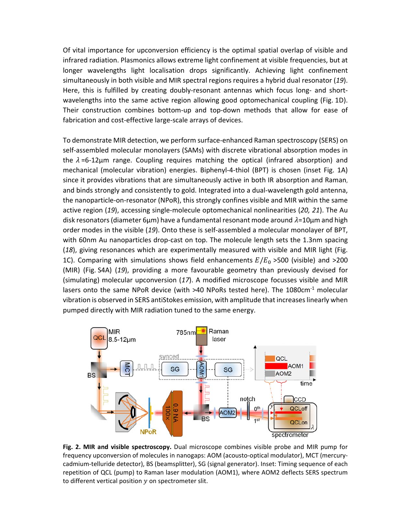Of vital importance for upconversion efficiency is the optimal spatial overlap of visible and infrared radiation. Plasmonics allows extreme light confinement at visible frequencies, but at longer wavelengths light localisation drops significantly. Achieving light confinement simultaneously in both visible and MIR spectral regions requires a hybrid dual resonator (*19*). Here, this is fulfilled by creating doubly-resonant antennas which focus long- and shortwavelengths into the same active region allowing good optomechanical coupling (Fig. 1D). Their construction combines bottom-up and top-down methods that allow for ease of fabrication and cost-effective large-scale arrays of devices.

To demonstrate MIR detection, we perform surface‐enhanced Raman spectroscopy (SERS) on self‐assembled molecular monolayers (SAMs) with discrete vibrational absorption modes in the  $\lambda$ =6-12µm range. Coupling requires matching the optical (infrared absorption) and mechanical (molecular vibration) energies. Biphenyl‐4‐thiol (BPT) is chosen (inset Fig. 1A) since it provides vibrations that are simultaneously active in both IR absorption and Raman, and binds strongly and consistently to gold. Integrated into a dual-wavelength gold antenna, the nanoparticle‐on‐resonator (NPoR), this strongly confines visible and MIR within the same active region (*19*), accessing single‐molecule optomechanical nonlinearities (*20, 21*). The Au disk resonators (diameter 6μm) have a fundamental resonant mode around  $\lambda$ =10μm and high order modes in the visible (*19*). Onto these is self‐assembled a molecular monolayer of BPT, with 60nm Au nanoparticles drop-cast on top. The molecule length sets the 1.3nm spacing (*18*), giving resonances which are experimentally measured with visible and MIR light (Fig. 1C). Comparing with simulations shows field enhancements  $E/E_0 > 500$  (visible) and  $>200$ (MIR) (Fig. S4A) (*19*), providing a more favourable geometry than previously devised for (simulating) molecular upconversion (*17*). A modified microscope focusses visible and MIR lasers onto the same NPoR device (with >40 NPoRs tested here). The 1080cm<sup>-1</sup> molecular vibration is observed in SERS antiStokes emission, with amplitude that increases linearly when pumped directly with MIR radiation tuned to the same energy.



Fig. 2. MIR and visible spectroscopy. Dual microscope combines visible probe and MIR pump for frequency upconversion of molecules in nanogaps: AOM (acousto‐optical modulator), MCT (mercury‐ cadmium‐telluride detector), BS (beamsplitter), SG (signal generator). Inset: Timing sequence of each repetition of QCL (pump) to Raman laser modulation (AOM1), where AOM2 deflects SERS spectrum to different vertical position  $y$  on spectrometer slit.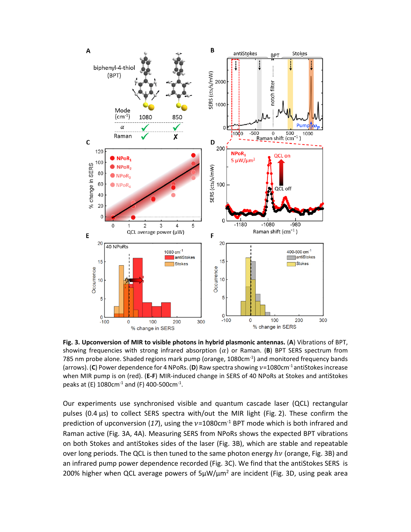

**Fig. 3. Upconversion of MIR to visible photons in hybrid plasmonic antennas.** (**A**) Vibrations of BPT, showing frequencies with strong infrared absorption  $(\alpha)$  or Raman. (B) BPT SERS spectrum from 785 nm probe alone. Shaded regions mark pump (orange,  $1080 \text{cm}^{-1}$ ) and monitored frequency bands (arrows). (C) Power dependence for 4 NPoRs. (D) Raw spectra showing  $v=1080 \text{cm}^{-1}$  antiStokes increase when MIR pump is on (red). (**E‐F**) MIR‐induced change in SERS of 40 NPoRs at Stokes and antiStokes peaks at (E) 1080cm $^{-1}$  and (F) 400-500cm $^{-1}$ .

Our experiments use synchronised visible and quantum cascade laser (QCL) rectangular pulses (0.4 µs) to collect SERS spectra with/out the MIR light (Fig. 2). These confirm the prediction of upconversion (17), using the  $v=1080$ cm<sup>-1</sup> BPT mode which is both infrared and Raman active (Fig. 3A, 4A). Measuring SERS from NPoRs shows the expected BPT vibrations on both Stokes and antiStokes sides of the laser (Fig. 3B), which are stable and repeatable over long periods. The QCL is then tuned to the same photon energy  $hv$  (orange, Fig. 3B) and an infrared pump power dependence recorded (Fig. 3C). We find that the antiStokes SERS is 200% higher when QCL average powers of  $5\mu$ W/ $\mu$ m<sup>2</sup> are incident (Fig. 3D, using peak area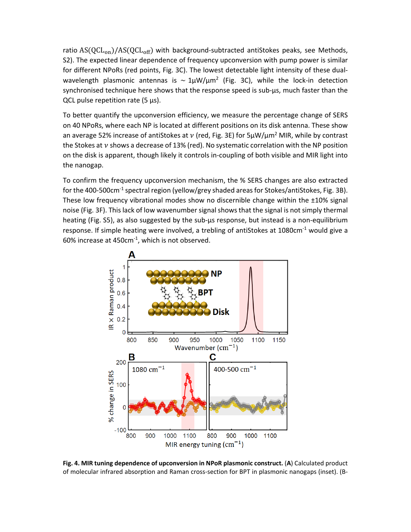ratio  $AS(QCL_{on})/AS(QCL_{off})$  with background-subtracted antiStokes peaks, see Methods, S2). The expected linear dependence of frequency upconversion with pump power is similar for different NPoRs (red points, Fig. 3C). The lowest detectable light intensity of these dual‐ wavelength plasmonic antennas is  $\sim 1 \mu W/\mu m^2$  (Fig. 3C), while the lock-in detection synchronised technique here shows that the response speed is sub-us, much faster than the QCL pulse repetition rate  $(5 \mu s)$ .

To better quantify the upconversion efficiency, we measure the percentage change of SERS on 40 NPoRs, where each NP is located at different positions on its disk antenna. These show an average 52% increase of antiStokes at v (red, Fig. 3E) for  $5\mu W/\mu m^2$  MIR, while by contrast the Stokes at  $\nu$  shows a decrease of 13% (red). No systematic correlation with the NP position on the disk is apparent, though likely it controls in‐coupling of both visible and MIR light into the nanogap.

To confirm the frequency upconversion mechanism, the % SERS changes are also extracted for the 400-500 $cm^{-1}$  spectral region (yellow/grey shaded areas for Stokes/antiStokes, Fig. 3B). These low frequency vibrational modes show no discernible change within the ±10% signal noise (Fig. 3F). This lack of low wavenumber signal shows that the signal is not simply thermal heating (Fig. S5), as also suggested by the sub-us response, but instead is a non-equilibrium response. If simple heating were involved, a trebling of antiStokes at 1080 $cm<sup>-1</sup>$  would give a 60% increase at 450cm‐1, which is not observed.



**Fig. 4. MIR tuning dependence of upconversion in NPoR plasmonic construct.** (**A**) Calculated product of molecular infrared absorption and Raman cross‐section for BPT in plasmonic nanogaps (inset). (B‐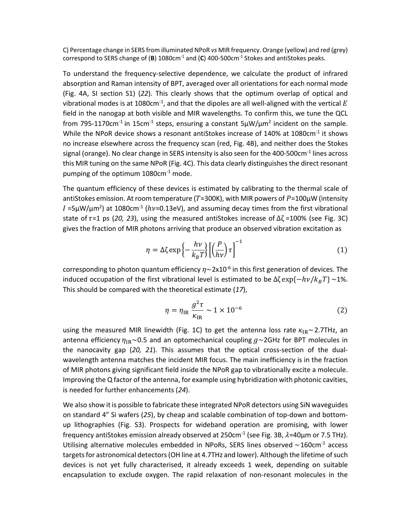C) Percentage change in SERS from illuminated NPoR *vs* MIR frequency. Orange (yellow) and red (grey) correspond to SERS change of (**B**) 1080cm<sup>-1</sup> and (**C**) 400-500cm<sup>-1</sup> Stokes and antiStokes peaks.

To understand the frequency‐selective dependence, we calculate the product of infrared absorption and Raman intensity of BPT, averaged over all orientations for each normal mode (Fig. 4A, SI section S1) (*22*). This clearly shows that the optimum overlap of optical and vibrational modes is at 1080cm<sup>-1</sup>, and that the dipoles are all well-aligned with the vertical  $E$ field in the nanogap at both visible and MIR wavelengths. To confirm this, we tune the QCL from 795-1170cm<sup>-1</sup> in 15cm<sup>-1</sup> steps, ensuring a constant  $5\mu$ W/ $\mu$ m<sup>2</sup> incident on the sample. While the NPoR device shows a resonant antiStokes increase of  $140\%$  at  $1080$ cm<sup>-1</sup> it shows no increase elsewhere across the frequency scan (red, Fig. 4B), and neither does the Stokes signal (orange). No clear change in SERS intensity is also seen for the 400-500cm<sup>-1</sup> lines across this MIR tuning on the same NPoR (Fig. 4C). This data clearly distinguishes the direct resonant pumping of the optimum 1080cm<sup>-1</sup> mode.

The quantum efficiency of these devices is estimated by calibrating to the thermal scale of antiStokes emission. At room temperature ( $T=300K$ ), with MIR powers of  $P=100\mu$ W (intensity I =5 $\mu$ W/ $\mu$ m<sup>2</sup>) at 1080cm<sup>-1</sup> ( $hv$ =0.13eV), and assuming decay times from the first vibrational state of  $\tau$ =1 ps (20, 23), using the measured antiStokes increase of  $\Delta \zeta$ =100% (see Fig. 3C) gives the fraction of MIR photons arriving that produce an observed vibration excitation as

$$
\eta = \Delta \zeta \exp\left\{-\frac{h\nu}{k_B T}\right\} \left[\left(\frac{P}{h\nu}\right) \tau\right]^{-1} \tag{1}
$$

corresponding to photon quantum efficiency  $\eta \sim 2 \times 10^{-6}$  in this first generation of devices. The induced occupation of the first vibrational level is estimated to be  $\Delta \zeta \exp{\{-h\nu/k_BT\}} \sim 1\%$ . This should be compared with the theoretical estimate (*17*),

$$
\eta = \eta_{\rm IR} \frac{g^2 \tau}{\kappa_{\rm IR}} \sim 1 \times 10^{-6} \tag{2}
$$

using the measured MIR linewidth (Fig. 1C) to get the antenna loss rate  $\kappa_{IR} \sim$  2.7THz, an antenna efficiency  $\eta_{IR}$ ~0.5 and an optomechanical coupling  $g$ ~2GHz for BPT molecules in the nanocavity gap (20, 21). This assumes that the optical cross-section of the dualwavelength antenna matches the incident MIR focus. The main inefficiency is in the fraction of MIR photons giving significant field inside the NPoR gap to vibrationally excite a molecule. Improving the Q factor of the antenna, for example using hybridization with photonic cavities, is needed for further enhancements (*24*).

We also show it is possible to fabricate these integrated NPoR detectors using SiN waveguides on standard 4" Si wafers (*25*), by cheap and scalable combination of top‐down and bottom‐ up lithographies (Fig. S3). Prospects for wideband operation are promising, with lower frequency antiStokes emission already observed at 250cm<sup>-1</sup> (see Fig. 3B,  $\lambda$ =40μm or 7.5 THz). Utilising alternative molecules embedded in NPoRs, SERS lines observed  $\sim$ 160cm $^{-1}$  access targets for astronomical detectors (OH line at 4.7THz and lower). Although the lifetime of such devices is not yet fully characterised, it already exceeds 1 week, depending on suitable encapsulation to exclude oxygen. The rapid relaxation of non-resonant molecules in the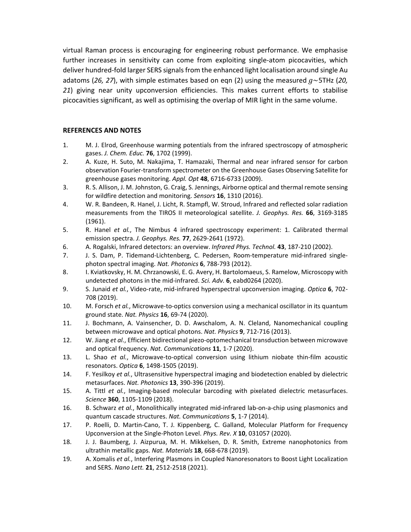virtual Raman process is encouraging for engineering robust performance. We emphasise further increases in sensitivity can come from exploiting single-atom picocavities, which deliver hundred‐fold larger SERS signals from the enhanced light localisation around single Au adatoms (26, 27), with simple estimates based on eqn (2) using the measured  $g \sim 5$ THz (20, *21*) giving near unity upconversion efficiencies. This makes current efforts to stabilise picocavities significant, as well as optimising the overlap of MIR light in the same volume.

### **REFERENCES AND NOTES**

- 1. M. J. Elrod, Greenhouse warming potentials from the infrared spectroscopy of atmospheric gases. *J. Chem. Educ.* **76**, 1702 (1999).
- 2. A. Kuze, H. Suto, M. Nakajima, T. Hamazaki, Thermal and near infrared sensor for carbon observation Fourier‐transform spectrometer on the Greenhouse Gases Observing Satellite for greenhouse gases monitoring. *Appl. Opt* **48**, 6716‐6733 (2009).
- 3. R. S. Allison, J. M. Johnston, G. Craig, S. Jennings, Airborne optical and thermal remote sensing for wildfire detection and monitoring. *Sensors* **16**, 1310 (2016).
- 4. W. R. Bandeen, R. Hanel, J. Licht, R. Stampfl, W. Stroud, Infrared and reflected solar radiation measurements from the TIROS II meteorological satellite. *J. Geophys. Res.* **66**, 3169‐3185 (1961).
- 5. R. Hanel *et al.*, The Nimbus 4 infrared spectroscopy experiment: 1. Calibrated thermal emission spectra. *J. Geophys. Res.* **77**, 2629‐2641 (1972).
- 6. A. Rogalski, Infrared detectors: an overview. *Infrared Phys. Technol.* **43**, 187‐210 (2002).
- 7. J. S. Dam, P. Tidemand-Lichtenberg, C. Pedersen, Room-temperature mid-infrared singlephoton spectral imaging. *Nat. Photonics* **6**, 788‐793 (2012).
- 8. I. Kviatkovsky, H. M. Chrzanowski, E. G. Avery, H. Bartolomaeus, S. Ramelow, Microscopy with undetected photons in the mid‐infrared. *Sci. Adv.* **6**, eabd0264 (2020).
- 9. S. Junaid *et al.*, Video‐rate, mid‐infrared hyperspectral upconversion imaging. *Optica* **6**, 702‐ 708 (2019).
- 10. M. Forsch et al., Microwave-to-optics conversion using a mechanical oscillator in its quantum ground state. *Nat. Physics* **16**, 69‐74 (2020).
- 11. J. Bochmann, A. Vainsencher, D. D. Awschalom, A. N. Cleland, Nanomechanical coupling between microwave and optical photons. *Nat. Physics* **9**, 712‐716 (2013).
- 12. W. Jiang *et al.*, Efficient bidirectional piezo‐optomechanical transduction between microwave and optical frequency. *Nat. Communications* **11**, 1‐7 (2020).
- 13. L. Shao *et al.*, Microwave‐to‐optical conversion using lithium niobate thin‐film acoustic resonators. *Optica* **6**, 1498‐1505 (2019).
- 14. F. Yesilkoy *et al.*, Ultrasensitive hyperspectral imaging and biodetection enabled by dielectric metasurfaces. *Nat. Photonics* **13**, 390‐396 (2019).
- 15. A. Tittl *et al.*, Imaging‐based molecular barcoding with pixelated dielectric metasurfaces. *Science* **360**, 1105‐1109 (2018).
- 16. B. Schwarz *et al.*, Monolithically integrated mid‐infrared lab‐on‐a‐chip using plasmonics and quantum cascade structures. *Nat. Communications* **5**, 1‐7 (2014).
- 17. P. Roelli, D. Martin-Cano, T. J. Kippenberg, C. Galland, Molecular Platform for Frequency Upconversion at the Single‐Photon Level. *Phys. Rev. X* **10**, 031057 (2020).
- 18. J. J. Baumberg, J. Aizpurua, M. H. Mikkelsen, D. R. Smith, Extreme nanophotonics from ultrathin metallic gaps. *Nat. Materials* **18**, 668‐678 (2019).
- 19. A. Xomalis *et al.*, Interfering Plasmons in Coupled Nanoresonators to Boost Light Localization and SERS. *Nano Lett.* **21**, 2512‐2518 (2021).